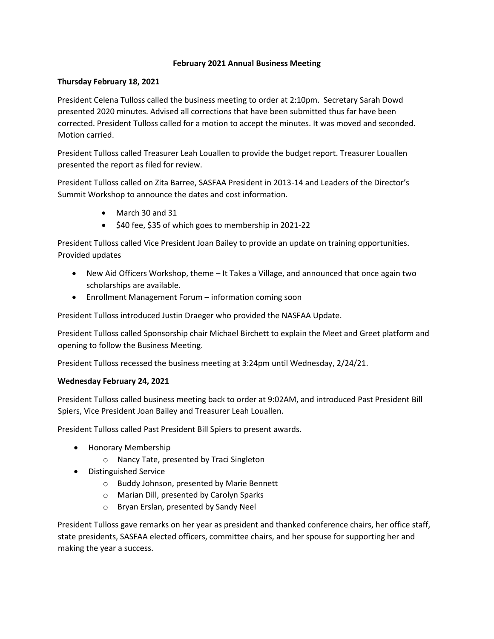## **February 2021 Annual Business Meeting**

## **Thursday February 18, 2021**

President Celena Tulloss called the business meeting to order at 2:10pm. Secretary Sarah Dowd presented 2020 minutes. Advised all corrections that have been submitted thus far have been corrected. President Tulloss called for a motion to accept the minutes. It was moved and seconded. Motion carried.

President Tulloss called Treasurer Leah Louallen to provide the budget report. Treasurer Louallen presented the report as filed for review.

President Tulloss called on Zita Barree, SASFAA President in 2013-14 and Leaders of the Director's Summit Workshop to announce the dates and cost information.

- March 30 and 31
- $\bullet$  \$40 fee, \$35 of which goes to membership in 2021-22

President Tulloss called Vice President Joan Bailey to provide an update on training opportunities. Provided updates

- New Aid Officers Workshop, theme It Takes a Village, and announced that once again two scholarships are available.
- Enrollment Management Forum information coming soon

President Tulloss introduced Justin Draeger who provided the NASFAA Update.

President Tulloss called Sponsorship chair Michael Birchett to explain the Meet and Greet platform and opening to follow the Business Meeting.

President Tulloss recessed the business meeting at 3:24pm until Wednesday, 2/24/21.

## **Wednesday February 24, 2021**

President Tulloss called business meeting back to order at 9:02AM, and introduced Past President Bill Spiers, Vice President Joan Bailey and Treasurer Leah Louallen.

President Tulloss called Past President Bill Spiers to present awards.

- Honorary Membership
	- o Nancy Tate, presented by Traci Singleton
- Distinguished Service
	- o Buddy Johnson, presented by Marie Bennett
	- o Marian Dill, presented by Carolyn Sparks
	- o Bryan Erslan, presented by Sandy Neel

President Tulloss gave remarks on her year as president and thanked conference chairs, her office staff, state presidents, SASFAA elected officers, committee chairs, and her spouse for supporting her and making the year a success.